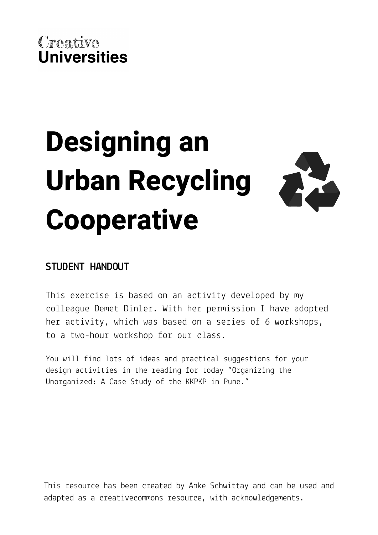# **Designing an Urban Recycling Cooperative**



## **STUDENT HANDOUT**

This exercise is based on an activity developed by my colleague Demet Dinler. With her permission I have adopted her activity, which was based on a series of 6 workshops, to a two-hour workshop for our class.

You will find lots of ideas and practical suggestions for your design activities in the reading for today "Organizing the Unorganized: A Case Study of the KKPKP in Pune."

This resource has been created by Anke Schwittay and can be used and adapted as a creativecommons resource, with acknowledgements.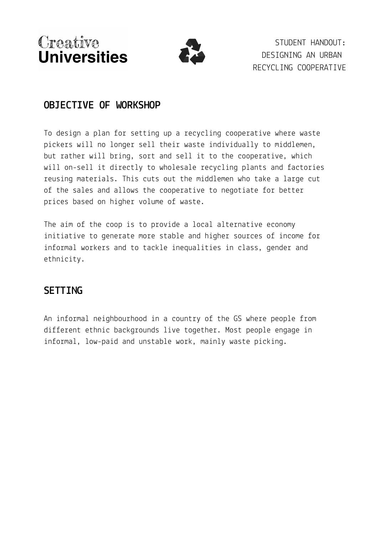

STUDENT HANDOUT: DESIGNING AN URBAN RECYCLING COOPERATIVE

#### **OBJECTIVE OF WORKSHOP**

To design a plan for setting up a recycling cooperative where waste pickers will no longer sell their waste individually to middlemen, but rather will bring, sort and sell it to the cooperative, which will on-sell it directly to wholesale recycling plants and factories reusing materials. This cuts out the middlemen who take a large cut of the sales and allows the cooperative to negotiate for better prices based on higher volume of waste.

The aim of the coop is to provide a local alternative economy initiative to generate more stable and higher sources of income for informal workers and to tackle inequalities in class, gender and ethnicity.

#### **SETTING**

An informal neighbourhood in a country of the GS where people from different ethnic backgrounds live together. Most people engage in informal, low-paid and unstable work, mainly waste picking.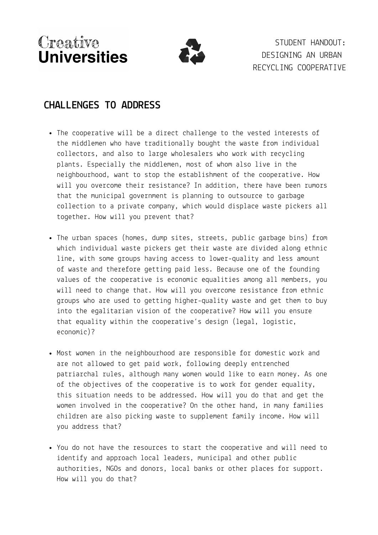STUDENT HANDOUT: DESIGNING AN URBAN RECYCLING COOPERATIVE

### **CHALLENGES TO ADDRESS**

- The cooperative will be a direct challenge to the vested interests of the middlemen who have traditionally bought the waste from individual collectors, and also to large wholesalers who work with recycling plants. Especially the middlemen, most of whom also live in the neighbourhood, want to stop the establishment of the cooperative. How will you overcome their resistance? In addition, there have been rumors that the municipal government is planning to outsource to garbage collection to a private company, which would displace waste pickers all together. How will you prevent that?
- The urban spaces (homes, dump sites, streets, public garbage bins) from which individual waste pickers get their waste are divided along ethnic line, with some groups having access to lower-quality and less amount of waste and therefore getting paid less. Because one of the founding values of the cooperative is economic equalities among all members, you will need to change that. How will you overcome resistance from ethnic groups who are used to getting higher-quality waste and get them to buy into the egalitarian vision of the cooperative? How will you ensure that equality within the cooperative's design (legal, logistic, economic)?
- Most women in the neighbourhood are responsible for domestic work and are not allowed to get paid work, following deeply entrenched patriarchal rules, although many women would like to earn money. As one of the objectives of the cooperative is to work for gender equality, this situation needs to be addressed. How will you do that and get the women involved in the cooperative? On the other hand, in many families children are also picking waste to supplement family income. How will you address that?
- You do not have the resources to start the cooperative and will need to identify and approach local leaders, municipal and other public authorities, NGOs and donors, local banks or other places for support. How will you do that?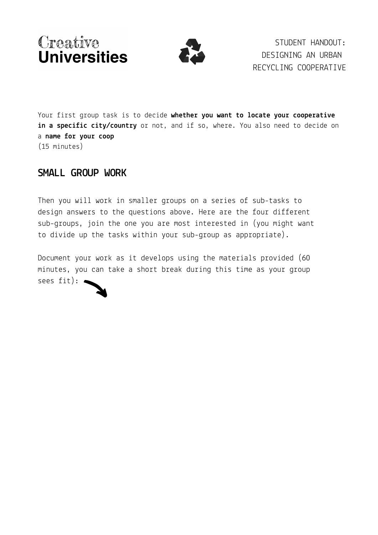



STUDENT HANDOUT: DESIGNING AN URBAN RECYCLING COOPERATIVE

(15 minutes) Your first group task is to decide **whether you want to locate your cooperative in a specific city/country** or not, and if so, where. You also need to decide on a **name for your coop**

#### **SMALL GROUP WORK**

Then you will work in smaller groups on a series of sub-tasks to design answers to the questions above. Here are the four different sub-groups, join the one you are most interested in (you might want to divide up the tasks within your sub-group as appropriate).

Document your work as it develops using the materials provided (60 minutes, you can take a short break during this time as your group sees fit):  $\bullet$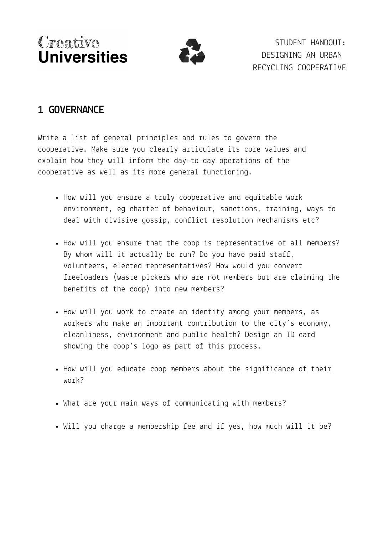STUDENT HANDOUT: DESIGNING AN URBAN RECYCLING COOPERATIVE

## **1 GOVERNANCE**

Write a list of general principles and rules to govern the cooperative. Make sure you clearly articulate its core values and explain how they will inform the day-to-day operations of the cooperative as well as its more general functioning.

- How will you ensure a truly cooperative and equitable work environment, eg charter of behaviour, sanctions, training, ways to deal with divisive gossip, conflict resolution mechanisms etc?
- How will you ensure that the coop is representative of all members? By whom will it actually be run? Do you have paid staff, volunteers, elected representatives? How would you convert freeloaders (waste pickers who are not members but are claiming the benefits of the coop) into new members?
- How will you work to create an identity among your members, as workers who make an important contribution to the city's economy, cleanliness, environment and public health? Design an ID card showing the coop's logo as part of this process.
- How will you educate coop members about the significance of their work?
- What are your main ways of communicating with members?
- Will you charge a membership fee and if yes, how much will it be?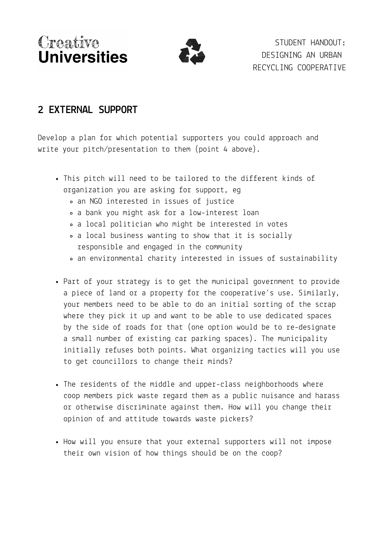

STUDENT HANDOUT: DESIGNING AN URBAN RECYCLING COOPERATIVE

## **2 EXTERNAL SUPPORT**

Develop a plan for which potential supporters you could approach and write your pitch/presentation to them (point 4 above).

- This pitch will need to be tailored to the different kinds of organization you are asking for support, eg
	- an NGO interested in issues of justice
	- a bank you might ask for a low-interest loan
	- a local politician who might be interested in votes
	- a local business wanting to show that it is socially responsible and engaged in the community
	- an environmental charity interested in issues of sustainability
- Part of your strategy is to get the municipal government to provide a piece of land or a property for the cooperative's use. Similarly, your members need to be able to do an initial sorting of the scrap where they pick it up and want to be able to use dedicated spaces by the side of roads for that (one option would be to re-designate a small number of existing car parking spaces). The municipality initially refuses both points. What organizing tactics will you use to get councillors to change their minds?
- The residents of the middle and upper-class neighborhoods where coop members pick waste regard them as a public nuisance and harass or otherwise discriminate against them. How will you change their opinion of and attitude towards waste pickers?
- How will you ensure that your external supporters will not impose their own vision of how things should be on the coop?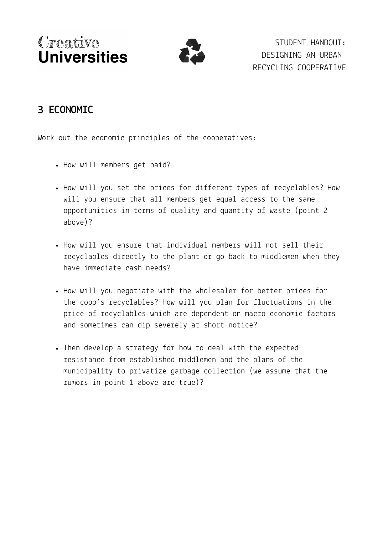

STUDENT HANDOUT: DESIGNING AN URBAN RECYCLING COOPERATIVE

## **3 ECONOMIC**

Work out the economic principles of the cooperatives:

- How will members get paid?
- How will you set the prices for different types of recyclables? How will you ensure that all members get equal access to the same opportunities in terms of quality and quantity of waste (point 2 above)?
- How will you ensure that individual members will not sell their recyclables directly to the plant or go back to middlemen when they have immediate cash needs?
- How will you negotiate with the wholesaler for better prices for the coop's recyclables? How will you plan for fluctuations in the price of recyclables which are dependent on macro-economic factors and sometimes can dip severely at short notice?
- Then develop a strategy for how to deal with the expected resistance from established middlemen and the plans of the municipality to privatize garbage collection (we assume that the rumors in point 1 above are true)?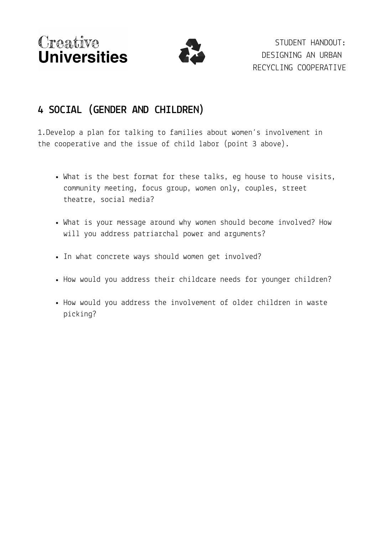

STUDENT HANDOUT: DESIGNING AN URBAN RECYCLING COOPERATIVE

## **4 SOCIAL (GENDER AND CHILDREN)**

1.Develop a plan for talking to families about women's involvement in the cooperative and the issue of child labor (point 3 above).

- What is the best format for these talks, eg house to house visits, community meeting, focus group, women only, couples, street theatre, social media?
- What is your message around why women should become involved? How will you address patriarchal power and arguments?
- In what concrete ways should women get involved?
- How would you address their childcare needs for younger children?
- How would you address the involvement of older children in waste picking?